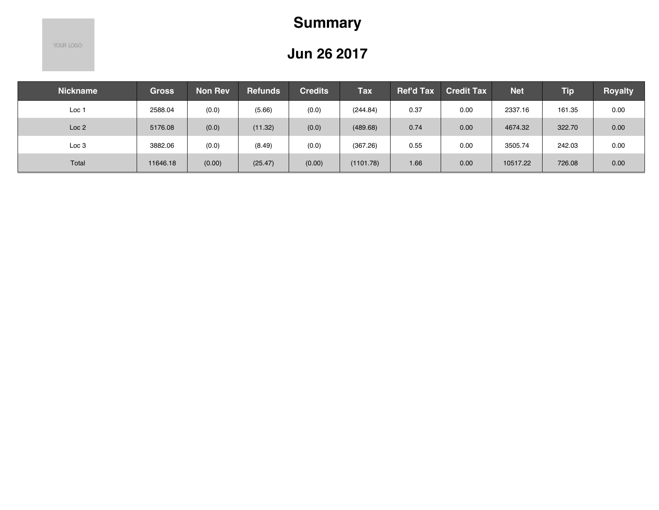# **Summary**

YOUR LOGO

| <b>Nickname</b>  | <b>Gross</b> | <b>Non Rev</b> | <b>Refunds</b> | <b>Credits</b> | <b>Tax</b> | <b>Ref'd Tax</b> | <b>Credit Tax</b> | <b>Net</b> | <b>Tip</b> | <b>Royalty</b> |
|------------------|--------------|----------------|----------------|----------------|------------|------------------|-------------------|------------|------------|----------------|
| Loc 1            | 2588.04      | (0.0)          | (5.66)         | (0.0)          | (244.84)   | 0.37             | 0.00              | 2337.16    | 161.35     | 0.00           |
| Loc <sub>2</sub> | 5176.08      | (0.0)          | (11.32)        | (0.0)          | (489.68)   | 0.74             | 0.00              | 4674.32    | 322.70     | 0.00           |
| Loc <sub>3</sub> | 3882.06      | (0.0)          | (8.49)         | (0.0)          | (367.26)   | 0.55             | 0.00              | 3505.74    | 242.03     | 0.00           |
| Total            | 11646.18     | (0.00)         | (25.47)        | (0.00)         | (1101.78)  | 1.66             | 0.00              | 10517.22   | 726.08     | 0.00           |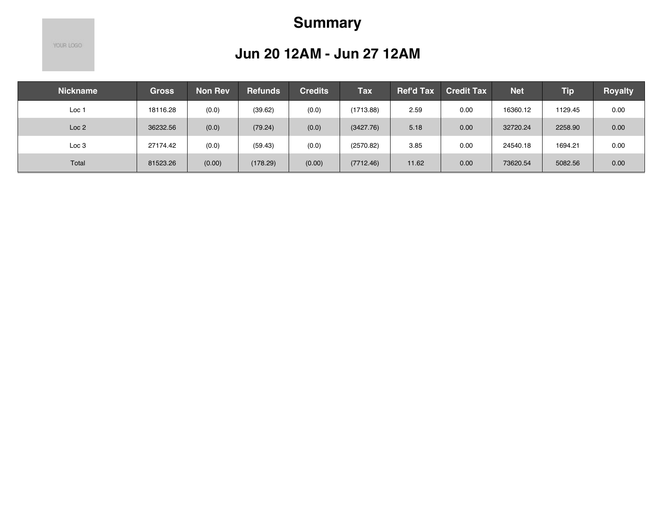# **Summary**

YOUR LOGO

#### **Jun 20 12AM - Jun 27 12AM**

| <b>Nickname</b>  | <b>Gross</b> | Non Rev | <b>Refunds</b> | <b>Credits</b> | <b>Tax</b> | <b>Ref'd Tax</b> | <b>Credit Tax</b> | <b>Net</b> | <b>Tip</b> | <b>Royalty</b> |
|------------------|--------------|---------|----------------|----------------|------------|------------------|-------------------|------------|------------|----------------|
| Loc 1            | 18116.28     | (0.0)   | (39.62)        | (0.0)          | (1713.88)  | 2.59             | 0.00              | 16360.12   | 1129.45    | 0.00           |
| Loc <sub>2</sub> | 36232.56     | (0.0)   | (79.24)        | (0.0)          | (3427.76)  | 5.18             | 0.00              | 32720.24   | 2258.90    | 0.00           |
| Loc 3            | 27174.42     | (0.0)   | (59.43)        | (0.0)          | (2570.82)  | 3.85             | 0.00              | 24540.18   | 1694.21    | 0.00           |
| Total            | 81523.26     | (0.00)  | (178.29)       | (0.00)         | (7712.46)  | 11.62            | 0.00              | 73620.54   | 5082.56    | 0.00           |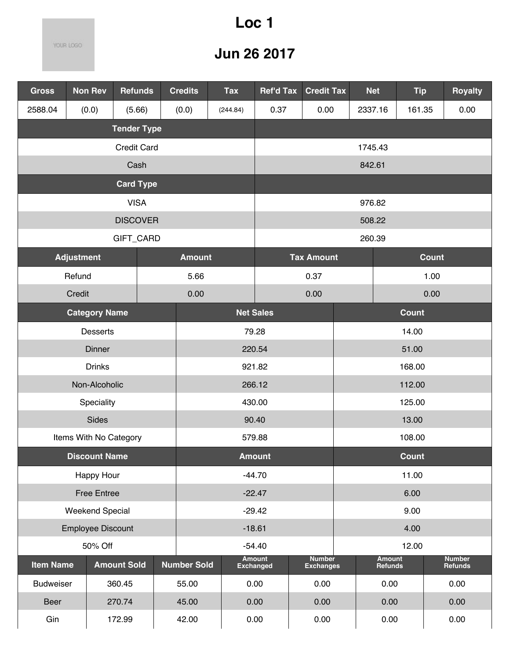## **Loc 1**

YOUR LOGO

| <b>Gross</b>      | <b>Non Rev</b>              | <b>Refunds</b>     |  | <b>Credits</b>     | <b>Tax</b> | <b>Ref'd Tax</b>                  | <b>Credit Tax</b>                 |              | <b>Net</b>               | <b>Tip</b>      |  | <b>Royalty</b>           |
|-------------------|-----------------------------|--------------------|--|--------------------|------------|-----------------------------------|-----------------------------------|--------------|--------------------------|-----------------|--|--------------------------|
| 2588.04           | (0.0)                       | (5.66)             |  | (0.0)              | (244.84)   | 0.37                              | 0.00                              |              | 2337.16                  | 161.35          |  | 0.00                     |
|                   |                             | <b>Tender Type</b> |  |                    |            |                                   |                                   |              |                          |                 |  |                          |
|                   | <b>Credit Card</b>          |                    |  |                    |            |                                   | 1745.43                           |              |                          |                 |  |                          |
|                   |                             | Cash               |  |                    |            |                                   |                                   |              | 842.61                   |                 |  |                          |
|                   |                             | <b>Card Type</b>   |  |                    |            |                                   |                                   |              |                          |                 |  |                          |
|                   |                             | <b>VISA</b>        |  |                    |            |                                   |                                   |              | 976.82                   |                 |  |                          |
|                   |                             | <b>DISCOVER</b>    |  |                    |            |                                   |                                   |              | 508.22                   |                 |  |                          |
|                   |                             | GIFT_CARD          |  |                    |            |                                   |                                   |              | 260.39                   |                 |  |                          |
| <b>Adjustment</b> |                             |                    |  | <b>Amount</b>      |            |                                   | <b>Tax Amount</b>                 | <b>Count</b> |                          |                 |  |                          |
| Refund            |                             |                    |  | 5.66               |            |                                   | 0.37                              | 1.00         |                          |                 |  |                          |
| Credit            |                             |                    |  | 0.00               |            |                                   | 0.00                              | 0.00         |                          |                 |  |                          |
|                   | <b>Category Name</b>        |                    |  |                    |            | <b>Net Sales</b>                  |                                   | <b>Count</b> |                          |                 |  |                          |
|                   | <b>Desserts</b>             |                    |  |                    | 79.28      |                                   |                                   | 14.00        |                          |                 |  |                          |
|                   | Dinner                      |                    |  |                    | 220.54     |                                   |                                   | 51.00        |                          |                 |  |                          |
|                   | <b>Drinks</b>               |                    |  |                    |            | 921.82                            |                                   | 168.00       |                          |                 |  |                          |
|                   | Non-Alcoholic<br>Speciality |                    |  | 266.12<br>430.00   |            |                                   |                                   |              | 112.00                   |                 |  |                          |
|                   | Sides                       |                    |  | 90.40              |            |                                   |                                   |              |                          | 125.00<br>13.00 |  |                          |
|                   | Items With No Category      |                    |  | 579.88             |            |                                   |                                   | 108.00       |                          |                 |  |                          |
|                   | <b>Discount Name</b>        |                    |  |                    |            | <b>Amount</b>                     |                                   |              |                          | Count           |  |                          |
|                   | Happy Hour                  |                    |  |                    |            | $-44.70$                          |                                   |              |                          | 11.00           |  |                          |
|                   | <b>Free Entree</b>          |                    |  |                    |            | $-22.47$                          |                                   |              |                          | 6.00            |  |                          |
|                   | <b>Weekend Special</b>      |                    |  |                    |            | $-29.42$                          |                                   |              |                          | 9.00            |  |                          |
|                   | <b>Employee Discount</b>    |                    |  |                    | $-18.61$   |                                   |                                   |              |                          | 4.00            |  |                          |
|                   | 50% Off                     |                    |  |                    |            | $-54.40$                          |                                   |              |                          | 12.00           |  |                          |
| <b>Item Name</b>  |                             | <b>Amount Sold</b> |  | <b>Number Sold</b> |            | <b>Amount</b><br><b>Exchanged</b> | <b>Number</b><br><b>Exchanges</b> |              | <b>Amount</b><br>Refunds |                 |  | <b>Number</b><br>Refunds |
| <b>Budweiser</b>  |                             | 360.45             |  | 55.00              |            | 0.00                              | 0.00                              |              | 0.00                     |                 |  | 0.00                     |
| Beer              |                             | 270.74             |  | 45.00              |            | 0.00                              | 0.00                              |              | 0.00                     |                 |  | 0.00                     |
| Gin               |                             | 172.99             |  | 42.00              |            | 0.00                              | 0.00                              |              | 0.00                     |                 |  | 0.00                     |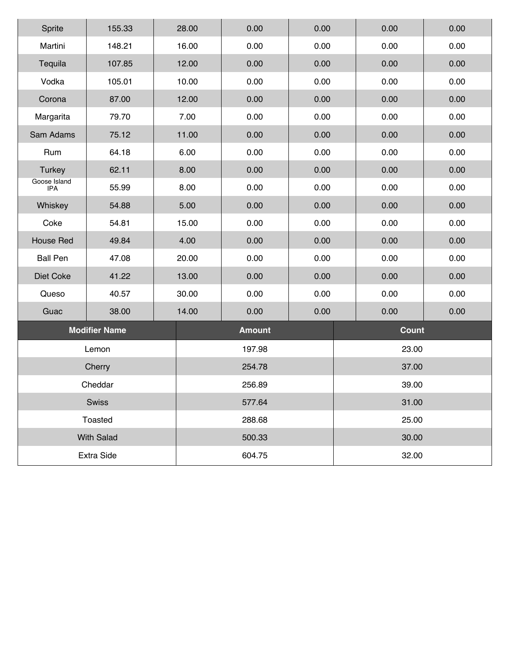| Sprite                     | 155.33               | 28.00 | 0.00          | 0.00 | 0.00         | 0.00 |  |  |
|----------------------------|----------------------|-------|---------------|------|--------------|------|--|--|
| Martini                    | 148.21               | 16.00 | 0.00          | 0.00 | 0.00         | 0.00 |  |  |
| Tequila                    | 107.85               | 12.00 | 0.00          | 0.00 | 0.00         | 0.00 |  |  |
| Vodka                      | 105.01               | 10.00 | 0.00          | 0.00 | 0.00         | 0.00 |  |  |
| Corona                     | 87.00                | 12.00 | 0.00          | 0.00 | 0.00         | 0.00 |  |  |
| Margarita                  | 79.70                | 7.00  | 0.00          | 0.00 | 0.00         | 0.00 |  |  |
| Sam Adams                  | 75.12                | 11.00 | 0.00          | 0.00 | 0.00         | 0.00 |  |  |
| Rum                        | 64.18                | 6.00  | 0.00          | 0.00 | 0.00         | 0.00 |  |  |
| <b>Turkey</b>              | 62.11                | 8.00  | 0.00          | 0.00 | 0.00         | 0.00 |  |  |
| Goose Island<br><b>IPA</b> | 55.99                | 8.00  | 0.00          | 0.00 | 0.00         | 0.00 |  |  |
| Whiskey                    | 54.88                | 5.00  | 0.00          | 0.00 | 0.00         | 0.00 |  |  |
| Coke                       | 54.81                | 15.00 | 0.00          | 0.00 | 0.00         | 0.00 |  |  |
| <b>House Red</b>           | 49.84                | 4.00  | 0.00          | 0.00 | 0.00         | 0.00 |  |  |
| <b>Ball Pen</b>            | 47.08                | 20.00 | 0.00          | 0.00 | 0.00         | 0.00 |  |  |
| Diet Coke                  | 41.22                | 13.00 | 0.00          | 0.00 | 0.00         | 0.00 |  |  |
| Queso                      | 40.57                | 30.00 | 0.00          | 0.00 | 0.00         | 0.00 |  |  |
| Guac                       | 38.00                | 14.00 | 0.00          | 0.00 | 0.00         | 0.00 |  |  |
|                            | <b>Modifier Name</b> |       | <b>Amount</b> |      | <b>Count</b> |      |  |  |
|                            | Lemon                |       | 197.98        |      | 23.00        |      |  |  |
|                            | Cherry               |       | 254.78        |      | 37.00        |      |  |  |
|                            | Cheddar              |       | 256.89        |      | 39.00        |      |  |  |
|                            | Swiss                |       | 577.64        |      | 31.00        |      |  |  |
|                            | Toasted              |       | 288.68        |      | 25.00        |      |  |  |
|                            | <b>With Salad</b>    |       | 500.33        |      | 30.00        |      |  |  |
|                            | Extra Side           |       | 604.75        |      | 32.00        |      |  |  |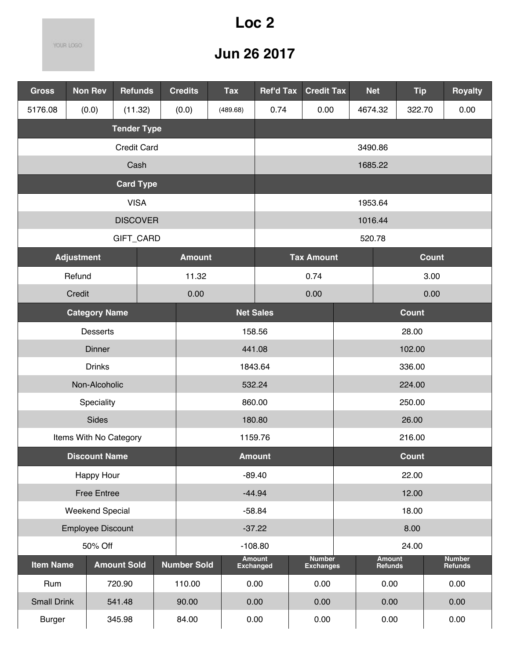## **Loc 2**

YOUR LOGO

| <b>Gross</b>       | <b>Non Rev</b>           | <b>Refunds</b>     |  | <b>Credits</b>     | <b>Tax</b>      | <b>Ref'd Tax</b>                  |                   | <b>Credit Tax</b>                 | <b>Net</b>               | <b>Tip</b>      |  | <b>Royalty</b>           |
|--------------------|--------------------------|--------------------|--|--------------------|-----------------|-----------------------------------|-------------------|-----------------------------------|--------------------------|-----------------|--|--------------------------|
| 5176.08            | (0.0)                    | (11.32)            |  | (0.0)              | (489.68)        | 0.74                              |                   | 0.00                              | 4674.32                  | 322.70          |  | 0.00                     |
|                    |                          | <b>Tender Type</b> |  |                    |                 |                                   |                   |                                   |                          |                 |  |                          |
|                    |                          | <b>Credit Card</b> |  |                    |                 |                                   |                   | 3490.86                           |                          |                 |  |                          |
| Cash<br>1685.22    |                          |                    |  |                    |                 |                                   |                   |                                   |                          |                 |  |                          |
|                    |                          | <b>Card Type</b>   |  |                    |                 |                                   |                   |                                   |                          |                 |  |                          |
|                    |                          | <b>VISA</b>        |  |                    |                 |                                   |                   |                                   | 1953.64                  |                 |  |                          |
|                    |                          | <b>DISCOVER</b>    |  |                    |                 |                                   |                   |                                   | 1016.44                  |                 |  |                          |
|                    |                          | GIFT_CARD          |  |                    |                 |                                   |                   |                                   | 520.78                   |                 |  |                          |
|                    | <b>Adjustment</b>        |                    |  | <b>Amount</b>      |                 |                                   | <b>Tax Amount</b> |                                   | <b>Count</b>             |                 |  |                          |
|                    | Refund                   |                    |  | 11.32              |                 | 0.74                              |                   |                                   | 3.00                     |                 |  |                          |
|                    | Credit                   |                    |  | 0.00               |                 | 0.00<br>0.00                      |                   |                                   |                          |                 |  |                          |
|                    | <b>Category Name</b>     |                    |  |                    |                 | <b>Net Sales</b><br><b>Count</b>  |                   |                                   |                          |                 |  |                          |
|                    | <b>Desserts</b>          |                    |  |                    | 158.56<br>28.00 |                                   |                   |                                   |                          |                 |  |                          |
|                    | <b>Dinner</b>            |                    |  | 441.08<br>102.00   |                 |                                   |                   |                                   |                          |                 |  |                          |
|                    | <b>Drinks</b>            |                    |  |                    |                 | 1843.64                           |                   | 336.00                            |                          |                 |  |                          |
|                    | Non-Alcoholic            |                    |  |                    |                 | 532.24                            |                   |                                   |                          | 224.00          |  |                          |
|                    | Speciality<br>Sides      |                    |  |                    |                 | 860.00<br>180.80                  |                   |                                   |                          | 250.00<br>26.00 |  |                          |
|                    | Items With No Category   |                    |  |                    |                 | 1159.76                           |                   |                                   | 216.00                   |                 |  |                          |
|                    | <b>Discount Name</b>     |                    |  |                    |                 | <b>Amount</b>                     |                   |                                   |                          | Count           |  |                          |
|                    | <b>Happy Hour</b>        |                    |  |                    |                 | $-89.40$                          |                   |                                   |                          | 22.00           |  |                          |
|                    | <b>Free Entree</b>       |                    |  |                    |                 | $-44.94$                          |                   |                                   |                          | 12.00           |  |                          |
|                    | <b>Weekend Special</b>   |                    |  |                    |                 | $-58.84$                          |                   |                                   |                          | 18.00           |  |                          |
|                    | <b>Employee Discount</b> |                    |  |                    |                 | $-37.22$                          |                   |                                   |                          | 8.00            |  |                          |
|                    | 50% Off                  |                    |  |                    |                 | 24.00<br>$-108.80$                |                   |                                   |                          |                 |  |                          |
| <b>Item Name</b>   |                          | <b>Amount Sold</b> |  | <b>Number Sold</b> |                 | <b>Amount</b><br><b>Exchanged</b> |                   | <b>Number</b><br><b>Exchanges</b> | <b>Amount</b><br>Refunds |                 |  | <b>Number</b><br>Refunds |
| Rum                |                          | 720.90             |  | 110.00             |                 | 0.00                              |                   | 0.00                              | 0.00                     |                 |  | 0.00                     |
| <b>Small Drink</b> |                          | 541.48             |  | 90.00              |                 | 0.00                              |                   | 0.00                              | 0.00                     |                 |  | 0.00                     |
| <b>Burger</b>      |                          | 345.98             |  | 84.00              |                 | 0.00                              |                   | 0.00                              | 0.00                     |                 |  | 0.00                     |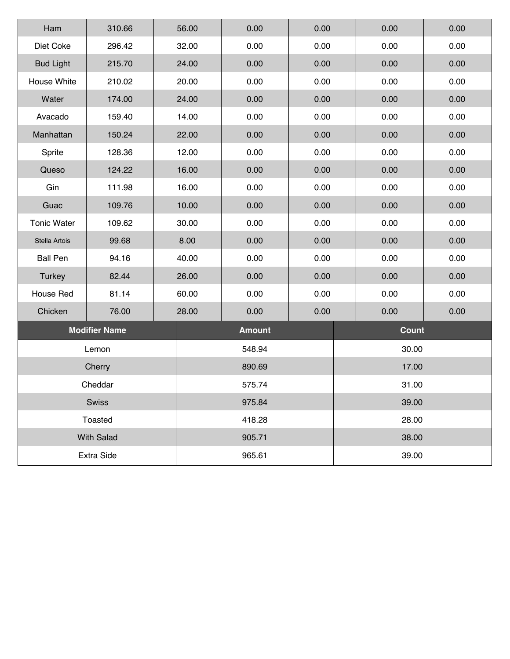| Ham                | 310.66               | 56.00 | 0.00            | 0.00  | 0.00         | 0.00 |  |  |
|--------------------|----------------------|-------|-----------------|-------|--------------|------|--|--|
| Diet Coke          | 296.42               | 32.00 | 0.00            | 0.00  | 0.00         | 0.00 |  |  |
| <b>Bud Light</b>   | 215.70               | 24.00 | 0.00            | 0.00  | 0.00         | 0.00 |  |  |
| House White        | 210.02               | 20.00 | 0.00            | 0.00  | 0.00         | 0.00 |  |  |
| Water              | 174.00               | 24.00 | 0.00            | 0.00  | 0.00         | 0.00 |  |  |
| Avacado            | 159.40               | 14.00 | 0.00            | 0.00  | 0.00         | 0.00 |  |  |
| Manhattan          | 150.24               | 22.00 | 0.00            | 0.00  | 0.00         | 0.00 |  |  |
| Sprite             | 128.36               | 12.00 | 0.00            | 0.00  | 0.00         | 0.00 |  |  |
| Queso              | 124.22               | 16.00 | 0.00            | 0.00  | 0.00         | 0.00 |  |  |
| Gin                | 111.98               | 16.00 | 0.00            | 0.00  | 0.00         | 0.00 |  |  |
| Guac               | 109.76               | 10.00 | 0.00            | 0.00  | 0.00         | 0.00 |  |  |
| <b>Tonic Water</b> | 109.62               | 30.00 | 0.00            | 0.00  | 0.00         | 0.00 |  |  |
| Stella Artois      | 99.68                | 8.00  | 0.00            | 0.00  | 0.00         | 0.00 |  |  |
| <b>Ball Pen</b>    | 94.16                | 40.00 | 0.00            | 0.00  | 0.00         | 0.00 |  |  |
| <b>Turkey</b>      | 82.44                | 26.00 | 0.00            | 0.00  | 0.00         | 0.00 |  |  |
| House Red          | 81.14                | 60.00 | 0.00            | 0.00  | 0.00         | 0.00 |  |  |
| Chicken            | 76.00                | 28.00 | 0.00            | 0.00  | 0.00         | 0.00 |  |  |
|                    | <b>Modifier Name</b> |       | <b>Amount</b>   |       | <b>Count</b> |      |  |  |
|                    | Lemon                |       | 548.94          |       | 30.00        |      |  |  |
|                    | Cherry               |       | 890.69          |       | 17.00        |      |  |  |
|                    | Cheddar              |       | 575.74          | 31.00 |              |      |  |  |
|                    | <b>Swiss</b>         |       | 39.00<br>975.84 |       |              |      |  |  |
|                    | Toasted              |       | 28.00<br>418.28 |       |              |      |  |  |
|                    | <b>With Salad</b>    |       | 38.00<br>905.71 |       |              |      |  |  |
|                    | Extra Side           |       | 965.61          |       | 39.00        |      |  |  |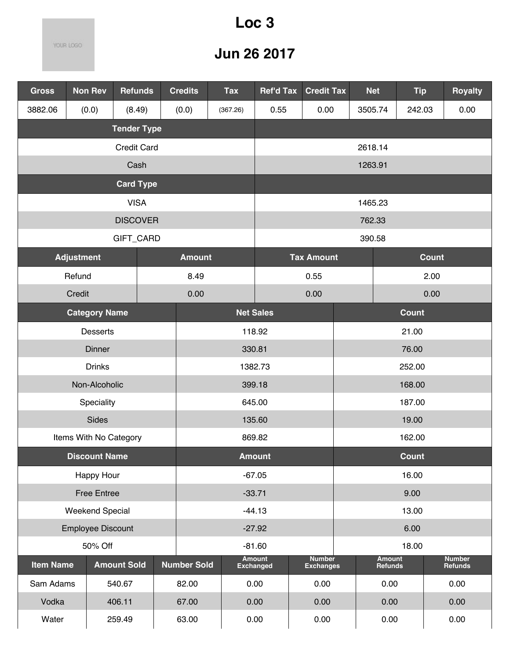## **Loc 3**

YOUR LOGO

| <b>Gross</b>     | <b>Non Rev</b>           | <b>Refunds</b>     |  | <b>Credits</b>     | <b>Tax</b> | <b>Ref'd Tax</b>                                                     |        | <b>Credit Tax</b> | <b>Net</b> |         | <b>Tip</b>    |              | <b>Royalty</b> |
|------------------|--------------------------|--------------------|--|--------------------|------------|----------------------------------------------------------------------|--------|-------------------|------------|---------|---------------|--------------|----------------|
| 3882.06          | (0.0)                    | (8.49)             |  | (0.0)              | (367.26)   | 0.55                                                                 |        | 0.00              | 3505.74    |         | 242.03        |              | 0.00           |
|                  |                          | <b>Tender Type</b> |  |                    |            |                                                                      |        |                   |            |         |               |              |                |
|                  |                          | <b>Credit Card</b> |  |                    |            |                                                                      |        |                   | 2618.14    |         |               |              |                |
|                  |                          | Cash               |  |                    |            |                                                                      |        |                   | 1263.91    |         |               |              |                |
|                  |                          | <b>Card Type</b>   |  |                    |            |                                                                      |        |                   |            |         |               |              |                |
|                  | <b>VISA</b>              |                    |  |                    |            |                                                                      |        |                   | 1465.23    |         |               |              |                |
|                  |                          | <b>DISCOVER</b>    |  |                    |            |                                                                      |        |                   | 762.33     |         |               |              |                |
|                  |                          | GIFT_CARD          |  |                    |            |                                                                      |        |                   | 390.58     |         |               |              |                |
|                  | <b>Adjustment</b>        |                    |  | <b>Amount</b>      |            |                                                                      |        | <b>Tax Amount</b> |            |         |               | <b>Count</b> |                |
|                  | Refund                   |                    |  | 8.49               |            |                                                                      |        | 0.55              |            |         |               | 2.00         |                |
|                  | Credit                   |                    |  | 0.00               |            |                                                                      |        | 0.00              |            |         |               | 0.00         |                |
|                  | <b>Category Name</b>     |                    |  |                    |            | <b>Net Sales</b>                                                     |        |                   |            |         | <b>Count</b>  |              |                |
|                  | <b>Desserts</b>          |                    |  | 118.92<br>21.00    |            |                                                                      |        |                   |            |         |               |              |                |
|                  | Dinner                   |                    |  | 330.81<br>76.00    |            |                                                                      |        |                   |            |         |               |              |                |
|                  | <b>Drinks</b>            |                    |  |                    |            | 1382.73                                                              | 252.00 |                   |            |         |               |              |                |
|                  | Non-Alcoholic            |                    |  |                    |            | 399.18                                                               |        |                   |            |         | 168.00        |              |                |
|                  | Speciality               |                    |  |                    |            | 645.00                                                               |        |                   |            |         | 187.00        |              |                |
|                  | <b>Sides</b>             |                    |  | 135.60<br>19.00    |            |                                                                      |        |                   |            |         |               |              |                |
|                  | Items With No Category   |                    |  |                    |            | 869.82                                                               |        |                   |            |         | 162.00        |              |                |
|                  | <b>Discount Name</b>     |                    |  |                    |            | <b>Amount</b>                                                        |        |                   |            |         | <b>Count</b>  |              |                |
|                  | Happy Hour               |                    |  |                    |            | $-67.05$                                                             |        |                   |            |         | 16.00         |              |                |
|                  | <b>Free Entree</b>       |                    |  |                    |            | $-33.71$                                                             |        |                   |            |         | 9.00          |              |                |
|                  | <b>Weekend Special</b>   |                    |  |                    |            | $-44.13$                                                             |        |                   |            |         | 13.00         |              |                |
|                  | <b>Employee Discount</b> |                    |  |                    |            | $-27.92$                                                             |        |                   |            |         | 6.00          |              |                |
|                  | 50% Off                  |                    |  |                    |            | $-81.60$<br>18.00<br><b>Amount</b><br><b>Number</b><br><b>Amount</b> |        |                   |            |         | <b>Number</b> |              |                |
| <b>Item Name</b> |                          | <b>Amount Sold</b> |  | <b>Number Sold</b> |            | <b>Exchanged</b>                                                     |        | <b>Exchanges</b>  |            | Refunds |               |              | Refunds        |
| Sam Adams        |                          | 540.67             |  | 82.00              |            | 0.00                                                                 |        | 0.00              |            | 0.00    |               |              | 0.00           |
| Vodka            |                          | 406.11             |  | 67.00              |            | 0.00                                                                 |        | 0.00              |            | 0.00    |               |              | 0.00           |
| Water            |                          | 259.49             |  | 63.00              |            | 0.00                                                                 |        | 0.00              |            | 0.00    |               |              | 0.00           |